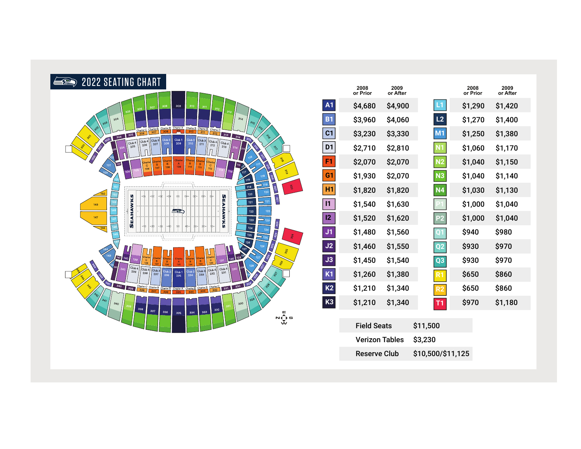